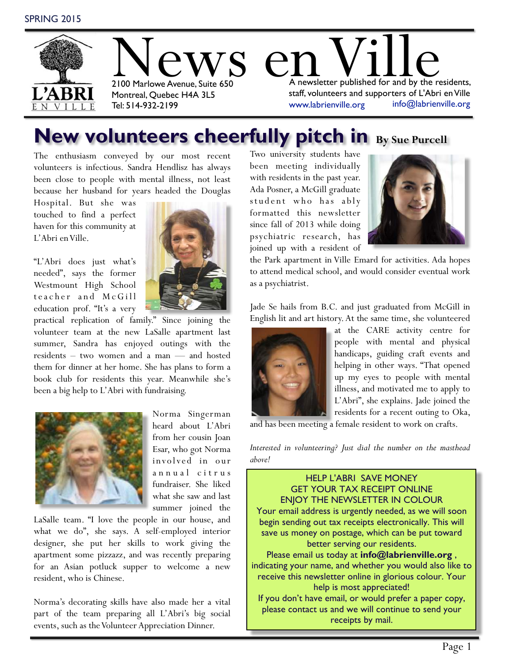

## **New volunteers cheerfully pitch in By Sue Purcell**

The enthusiasm conveyed by our most recent volunteers is infectious. Sandra Hendlisz has always been close to people with mental illness, not least because her husband for years headed the Douglas

Hospital. But she was touched to find a perfect haven for this community at L'Abri en Ville.

"L'Abri does just what's needed", says the former Westmount High School teacher and McGill education prof. "It's a very



practical replication of family." Since joining the volunteer team at the new LaSalle apartment last summer, Sandra has enjoyed outings with the residents – two women and a man — and hosted them for dinner at her home. She has plans to form a book club for residents this year. Meanwhile she's been a big help to L'Abri with fundraising.



Norma Singerman heard about L'Abri from her cousin Joan Esar, who got Norma involved in our annual citrus fundraiser. She liked what she saw and last summer joined the

LaSalle team. "I love the people in our house, and what we do", she says. A self-employed interior designer, she put her skills to work giving the apartment some pizzazz, and was recently preparing for an Asian potluck supper to welcome a new resident, who is Chinese.

Norma's decorating skills have also made her a vital part of the team preparing all L'Abri's big social events, such as the Volunteer Appreciation Dinner.

Two university students have been meeting individually with residents in the past year. Ada Posner, a McGill graduate student who has ably formatted this newsletter since fall of 2013 while doing psychiatric research, has joined up with a resident of



the Park apartment in Ville Emard for activities. Ada hopes to attend medical school, and would consider eventual work as a psychiatrist.

Jade Se hails from B.C. and just graduated from McGill in English lit and art history. At the same time, she volunteered



at the CARE activity centre for people with mental and physical handicaps, guiding craft events and helping in other ways. "That opened up my eyes to people with mental illness, and motivated me to apply to L'Abri", she explains. Jade joined the residents for a recent outing to Oka,

and has been meeting a female resident to work on crafts.

*Interested in volunteering? Just dial the number on the masthead above!*

HELP L'ABRI SAVE MONEY GET YOUR TAX RECEIPT ONLINE ENJOY THE NEWSLETTER IN COLOUR Your email address is urgently needed, as we will soon begin sending out tax receipts electronically. This will save us money on postage, which can be put toward better serving our residents. Please email us today at **info@labrienville.org** , indicating your name, and whether you would also like to receive this newsletter online in glorious colour. Your help is most appreciated! If you don't have email, or would prefer a paper copy, please contact us and we will continue to send your receipts by mail.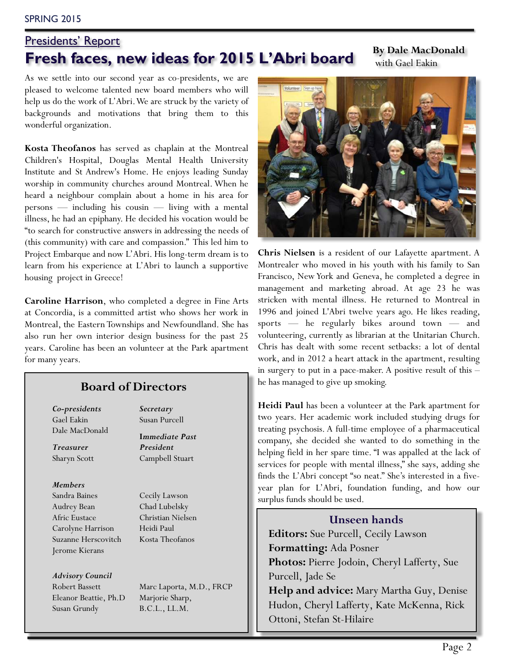#### SPRING 2015

## Presidents' Report **Fresh faces, new ideas for 2015 L'Abri board** By Dale MacDonald

with Gael Eakin

As we settle into our second year as co-presidents, we are pleased to welcome talented new board members who will help us do the work of L'Abri. We are struck by the variety of backgrounds and motivations that bring them to this wonderful organization.

**Kosta Theofanos** has served as chaplain at the Montreal Children's Hospital, Douglas Mental Health University Institute and St Andrew's Home. He enjoys leading Sunday worship in community churches around Montreal. When he heard a neighbour complain about a home in his area for persons — including his cousin — living with a mental illness, he had an epiphany. He decided his vocation would be "to search for constructive answers in addressing the needs of (this community) with care and compassion." This led him to Project Embarque and now L'Abri. His long-term dream is to learn from his experience at L'Abri to launch a supportive housing project in Greece!

**Caroline Harrison**, who completed a degree in Fine Arts at Concordia, is a committed artist who shows her work in Montreal, the Eastern Townships and Newfoundland. She has also run her own interior design business for the past 25 years. Caroline has been an volunteer at the Park apartment for many years.

#### **Board of Directors**

*Co-presidents* Gael Eakin Dale MacDonald

*Treasurer* Sharyn Scott

#### *Members*

Sandra Baines Audrey Bean Afric Eustace Carolyne Harrison Suzanne Herscovitch Jerome Kierans

*Advisory Council* Robert Bassett Eleanor Beattie, Ph.D Susan Grundy

*Secretary* Susan Purcell **I***mmediate Past President*  Campbell Stuart

Cecily Lawson Chad Lubelsky Christian Nielsen Heidi Paul Kosta Theofanos

Marc Laporta, M.D., FRCP Marjorie Sharp, B.C.L., LL.M.



**Chris Nielsen** is a resident of our Lafayette apartment. A Montrealer who moved in his youth with his family to San Francisco, New York and Geneva, he completed a degree in management and marketing abroad. At age 23 he was stricken with mental illness. He returned to Montreal in 1996 and joined L'Abri twelve years ago. He likes reading, sports — he regularly bikes around town — and volunteering, currently as librarian at the Unitarian Church. Chris has dealt with some recent setbacks: a lot of dental work, and in 2012 a heart attack in the apartment, resulting in surgery to put in a pace-maker. A positive result of this – he has managed to give up smoking.

**Heidi Paul** has been a volunteer at the Park apartment for two years. Her academic work included studying drugs for treating psychosis. A full-time employee of a pharmaceutical company, she decided she wanted to do something in the helping field in her spare time. "I was appalled at the lack of services for people with mental illness," she says, adding she finds the L'Abri concept "so neat." She's interested in a fiveyear plan for L'Abri, foundation funding, and how our surplus funds should be used.

#### **Unseen hands**

**Editors:** Sue Purcell, Cecily Lawson **Formatting:** Ada Posner **Photos:** Pierre Jodoin, Cheryl Lafferty, Sue Purcell, Jade Se

**Help and advice:** Mary Martha Guy, Denise Hudon, Cheryl Lafferty, Kate McKenna, Rick Ottoni, Stefan St-Hilaire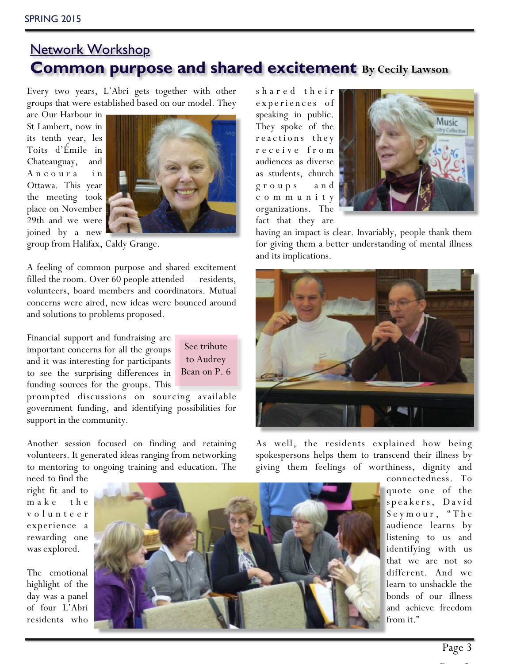## Network Workshop **Common purpose and shared excitement By Cecily Lawson**

Every two years, L'Abri gets together with other groups that were established based on our model. They

are Our Harbour in St Lambert, now in its tenth year, les Toits d'Émile in Chateauguay, and A n c o u r a i n Ottawa. This year the meeting took place on November 29th and we were joined by a new



See tribute to Audrey Bean on P. 6

group from Halifax, Caldy Grange.

A feeling of common purpose and shared excitement filled the room. Over 60 people attended — residents, volunteers, board members and coordinators. Mutual concerns were aired, new ideas were bounced around and solutions to problems proposed.

Financial support and fundraising are important concerns for all the groups and it was interesting for participants to see the surprising differences in funding sources for the groups. This

prompted discussions on sourcing available government funding, and identifying possibilities for support in the community.

Another session focused on finding and retaining volunteers. It generated ideas ranging from networking to mentoring to ongoing training and education. The

experiences of speaking in public. They spoke of the reactions they r e c e i v e f r o m audiences as diverse as students, church g r o u p s a n d c o m m u n i t y organizations. The fact that they are

s h a r e d t h e i r



having an impact is clear. Invariably, people thank them for giving them a better understanding of mental illness and its implications.



As well, the residents explained how being spokespersons helps them to transcend their illness by giving them feelings of worthiness, dignity and

need to find the right fit and to m a k e t h e v o l u n t e e r experience a rewarding one was explored.

The emotional highlight of the day was a panel of four L'Abri residents who



connectedness. To quote one of the speakers, David Seymour, "The audience learns by listening to us and identifying with us that we are not so different. And we learn to unshackle the bonds of our illness and achieve freedom from it."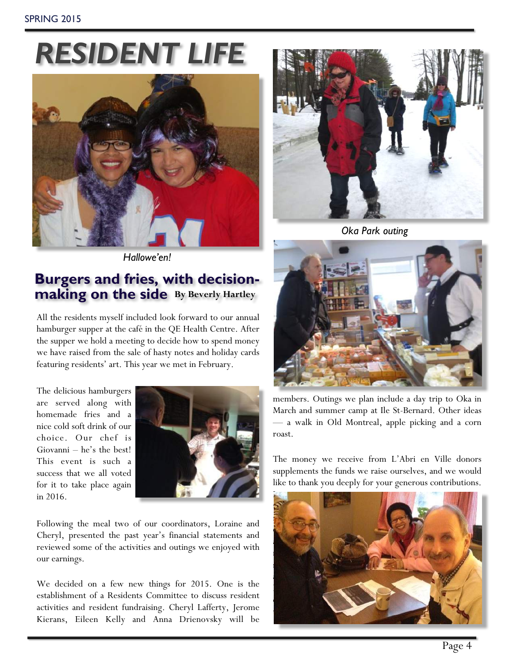# *RESIDENT LIFE*



*Hallowe'en!*

## **Burgers and fries, with decisionmaking on the side By Beverly Hartley**

All the residents myself included look forward to our annual hamburger supper at the café in the QE Health Centre. After the supper we hold a meeting to decide how to spend money we have raised from the sale of hasty notes and holiday cards featuring residents' art. This year we met in February.

The delicious hamburgers are served along with homemade fries and a nice cold soft drink of our choice. Our chef is Giovanni – he's the best! This event is such a success that we all voted for it to take place again in 2016.



Following the meal two of our coordinators, Loraine and Cheryl, presented the past year's financial statements and reviewed some of the activities and outings we enjoyed with our earnings.

We decided on a few new things for 2015. One is the establishment of a Residents Committee to discuss resident activities and resident fundraising. Cheryl Lafferty, Jerome Kierans, Eileen Kelly and Anna Drienovsky will be



*Oka Park outing*



members. Outings we plan include a day trip to Oka in March and summer camp at Ile St-Bernard. Other ideas — a walk in Old Montreal, apple picking and a corn roast.

The money we receive from L'Abri en Ville donors supplements the funds we raise ourselves, and we would like to thank you deeply for your generous contributions.

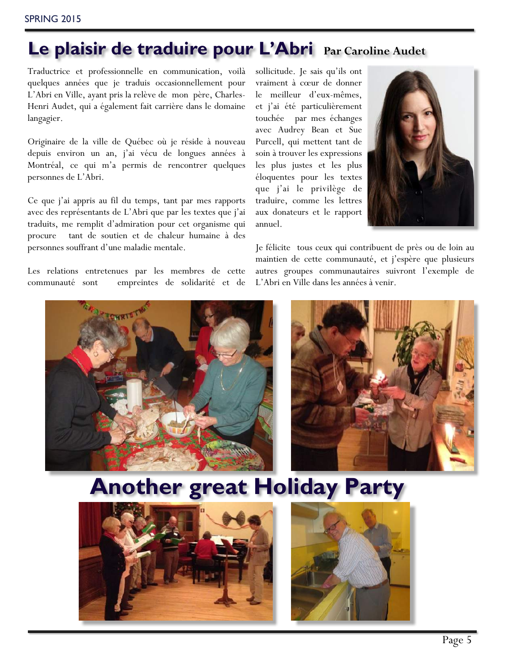## **Le plaisir de traduire pour L'Abri Par Caroline Audet**

Traductrice et professionnelle en communication, voilà quelques années que je traduis occasionnellement pour L'Abri en Ville, ayant pris la relève de mon père, Charles-Henri Audet, qui a également fait carrière dans le domaine langagier.

Originaire de la ville de Québec où je réside à nouveau depuis environ un an, j'ai vécu de longues années à Montréal, ce qui m'a permis de rencontrer quelques personnes de L'Abri.

Ce que j'ai appris au fil du temps, tant par mes rapports avec des représentants de L'Abri que par les textes que j'ai traduits, me remplit d'admiration pour cet organisme qui procure tant de soutien et de chaleur humaine à des personnes souffrant d'une maladie mentale.

Les relations entretenues par les membres de cette communauté sont empreintes de solidarité et de

sollicitude. Je sais qu'ils ont vraiment à cœur de donner le meilleur d'eux-mêmes, et j'ai été particulièrement touchée par mes échanges avec Audrey Bean et Sue Purcell, qui mettent tant de soin à trouver les expressions les plus justes et les plus éloquentes pour les textes que j'ai le privilège de traduire, comme les lettres aux donateurs et le rapport annuel.



Je félicite tous ceux qui contribuent de près ou de loin au maintien de cette communauté, et j'espère que plusieurs autres groupes communautaires suivront l'exemple de L'Abri en Ville dans les années à venir.





## **Another great Holiday Party**



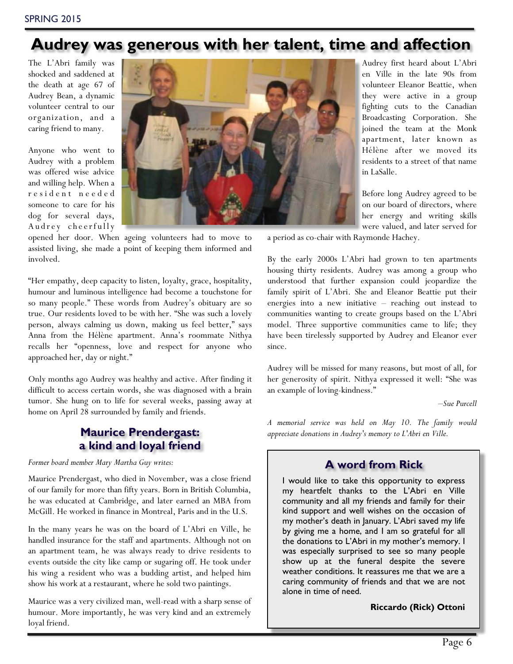## **Audrey was generous with her talent, time and affection**

The L'Abri family was shocked and saddened at the death at age 67 of Audrey Bean, a dynamic volunteer central to our organization, and a caring friend to many.

Anyone who went to Audrey with a problem was offered wise advice and willing help. When a r e s i d e n t n e e d e d someone to care for his dog for several days, Audrey cheerfully



opened her door. When ageing volunteers had to move to assisted living, she made a point of keeping them informed and involved.

"Her empathy, deep capacity to listen, loyalty, grace, hospitality, humour and luminous intelligence had become a touchstone for so many people." These words from Audrey's obituary are so true. Our residents loved to be with her. "She was such a lovely person, always calming us down, making us feel better," says Anna from the Hélène apartment. Anna's roommate Nithya recalls her "openness, love and respect for anyone who approached her, day or night."

Only months ago Audrey was healthy and active. After finding it difficult to access certain words, she was diagnosed with a brain tumor. She hung on to life for several weeks, passing away at home on April 28 surrounded by family and friends.

#### **Maurice Prendergast: a kind and loyal friend**

*Former board member Mary Martha Guy writes:*

Maurice Prendergast, who died in November, was a close friend of our family for more than fifty years. Born in British Columbia, he was educated at Cambridge, and later earned an MBA from McGill. He worked in finance in Montreal, Paris and in the U.S.

In the many years he was on the board of L'Abri en Ville, he handled insurance for the staff and apartments. Although not on an apartment team, he was always ready to drive residents to events outside the city like camp or sugaring off. He took under his wing a resident who was a budding artist, and helped him show his work at a restaurant, where he sold two paintings.

Maurice was a very civilized man, well-read with a sharp sense of humour. More importantly, he was very kind and an extremely loyal friend.

Audrey first heard about L'Abri en Ville in the late 90s from volunteer Eleanor Beattie, when they were active in a group fighting cuts to the Canadian Broadcasting Corporation. She joined the team at the Monk apartment, later known as Hélène after we moved its residents to a street of that name in LaSalle.

Before long Audrey agreed to be on our board of directors, where her energy and writing skills were valued, and later served for

a period as co-chair with Raymonde Hachey.

By the early 2000s L'Abri had grown to ten apartments housing thirty residents. Audrey was among a group who understood that further expansion could jeopardize the family spirit of L'Abri. She and Eleanor Beattie put their energies into a new initiative – reaching out instead to communities wanting to create groups based on the L'Abri model. Three supportive communities came to life; they have been tirelessly supported by Audrey and Eleanor ever since.

Audrey will be missed for many reasons, but most of all, for her generosity of spirit. Nithya expressed it well: "She was an example of loving-kindness."

*–Sue Purcell*

*A memorial service was held on May 10. The family would appreciate donations in Audrey's memory to L'Abri en Ville.*

### **A word from Rick**

I would like to take this opportunity to express my heartfelt thanks to the L'Abri en Ville community and all my friends and family for their kind support and well wishes on the occasion of my mother's death in January. L'Abri saved my life by giving me a home, and I am so grateful for all the donations to L'Abri in my mother's memory. I was especially surprised to see so many people show up at the funeral despite the severe weather conditions. It reassures me that we are a caring community of friends and that we are not alone in time of need.

#### **Riccardo (Rick) Ottoni**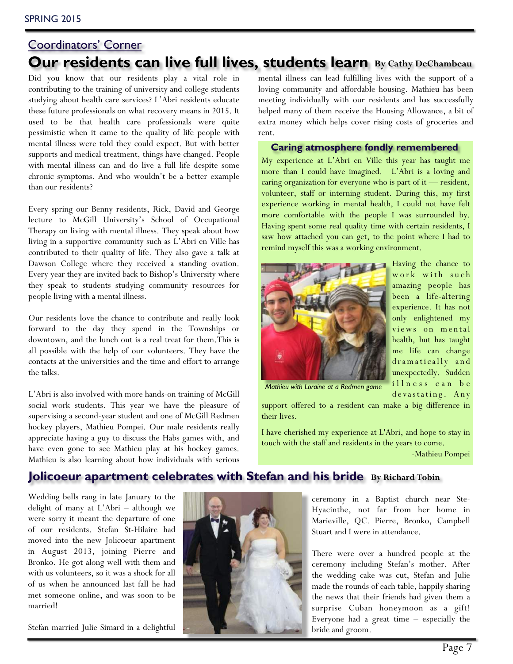## Coordinators' Corner **Our residents can live full lives, students learn By Cathy DeChambeau**

Did you know that our residents play a vital role in contributing to the training of university and college students studying about health care services? L'Abri residents educate these future professionals on what recovery means in 2015. It used to be that health care professionals were quite pessimistic when it came to the quality of life people with mental illness were told they could expect. But with better supports and medical treatment, things have changed. People with mental illness can and do live a full life despite some chronic symptoms. And who wouldn't be a better example than our residents?

Every spring our Benny residents, Rick, David and George lecture to McGill University's School of Occupational Therapy on living with mental illness. They speak about how living in a supportive community such as L'Abri en Ville has contributed to their quality of life. They also gave a talk at Dawson College where they received a standing ovation. Every year they are invited back to Bishop's University where they speak to students studying community resources for people living with a mental illness.

Our residents love the chance to contribute and really look forward to the day they spend in the Townships or downtown, and the lunch out is a real treat for them.This is all possible with the help of our volunteers. They have the contacts at the universities and the time and effort to arrange the talks.

L'Abri is also involved with more hands-on training of McGill social work students. This year we have the pleasure of supervising a second-year student and one of McGill Redmen hockey players, Mathieu Pompei. Our male residents really appreciate having a guy to discuss the Habs games with, and have even gone to see Mathieu play at his hockey games. Mathieu is also learning about how individuals with serious

mental illness can lead fulfilling lives with the support of a loving community and affordable housing. Mathieu has been meeting individually with our residents and has successfully helped many of them receive the Housing Allowance, a bit of extra money which helps cover rising costs of groceries and rent.

**Caring atmosphere fondly remembered**

My experience at L'Abri en Ville this year has taught me more than I could have imagined. L'Abri is a loving and caring organization for everyone who is part of it — resident, volunteer, staff or interning student. During this, my first experience working in mental health, I could not have felt more comfortable with the people I was surrounded by. Having spent some real quality time with certain residents, I saw how attached you can get, to the point where I had to remind myself this was a working environment.



Having the chance to work with such amazing people has been a life-altering experience. It has not only enlightened my views on mental health, but has taught me life can change dramatically and unexpectedly. Sudden illness can be devastating. Any

*Mathieu with Loraine at a Redmen game*

support offered to a resident can make a big difference in their lives.

I have cherished my experience at L'Abri, and hope to stay in touch with the staff and residents in the years to come.

-Mathieu Pompei

### **Jolicoeur apartment celebrates with Stefan and his bride** By Richard Tobin

Wedding bells rang in late January to the delight of many at L'Abri – although we were sorry it meant the departure of one of our residents. Stefan St-Hilaire had moved into the new Jolicoeur apartment in August 2013, joining Pierre and Bronko. He got along well with them and with us volunteers, so it was a shock for all of us when he announced last fall he had met someone online, and was soon to be married!

Stefan married Julie Simard in a delightful



ceremony in a Baptist church near Ste-Hyacinthe, not far from her home in Marieville, QC. Pierre, Bronko, Campbell Stuart and I were in attendance.

There were over a hundred people at the ceremony including Stefan's mother. After the wedding cake was cut, Stefan and Julie made the rounds of each table, happily sharing the news that their friends had given them a surprise Cuban honeymoon as a gift! Everyone had a great time – especially the bride and groom.